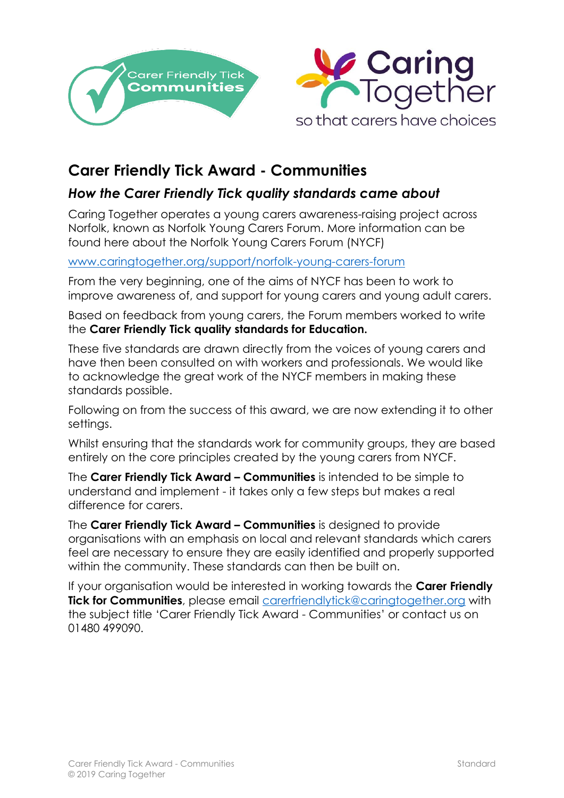



## **Carer Friendly Tick Award - Communities**

## *How the Carer Friendly Tick quality standards came about*

Caring Together operates a young carers awareness-raising project across Norfolk, known as Norfolk Young Carers Forum. More information can be found here about the Norfolk Young Carers Forum (NYCF)

## [www.caringtogether.org/support/norfolk-young-carers-forum](http://www.caringtogether.org/support/norfolk-young-carers-forum)

From the very beginning, one of the aims of NYCF has been to work to improve awareness of, and support for young carers and young adult carers.

Based on feedback from young carers, the Forum members worked to write the **Carer Friendly Tick quality standards for Education.** 

These five standards are drawn directly from the voices of young carers and have then been consulted on with workers and professionals. We would like to acknowledge the great work of the NYCF members in making these standards possible.

Following on from the success of this award, we are now extending it to other settings.

Whilst ensuring that the standards work for community groups, they are based entirely on the core principles created by the young carers from NYCF.

The **Carer Friendly Tick Award – Communities** is intended to be simple to understand and implement - it takes only a few steps but makes a real difference for carers.

The **Carer Friendly Tick Award – Communities** is designed to provide organisations with an emphasis on local and relevant standards which carers feel are necessary to ensure they are easily identified and properly supported within the community. These standards can then be built on.

If your organisation would be interested in working towards the **Carer Friendly Tick for Communities**, please email [carerfriendlytick@caringtogether.org](mailto:carerfriendlytick@caringtogether.org) with the subject title 'Carer Friendly Tick Award - Communities' or contact us on 01480 499090.